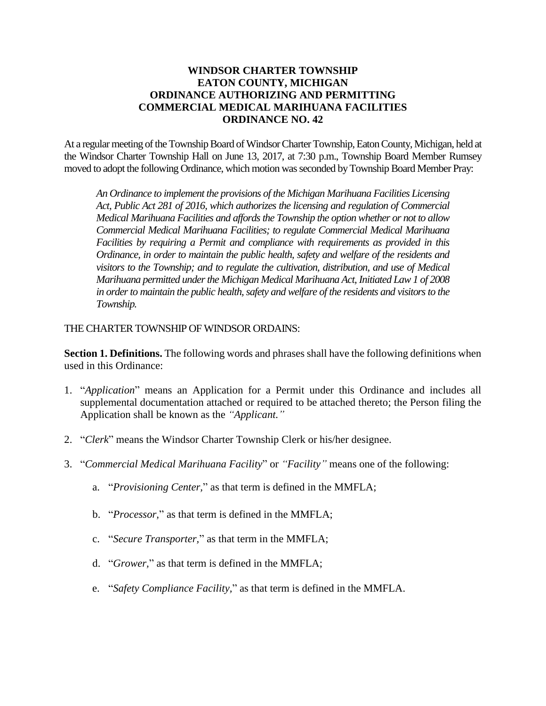## **WINDSOR CHARTER TOWNSHIP EATON COUNTY, MICHIGAN ORDINANCE AUTHORIZING AND PERMITTING COMMERCIAL MEDICAL MARIHUANA FACILITIES ORDINANCE NO. 42**

At a regular meeting of the Township Board of Windsor Charter Township, EatonCounty, Michigan, held at the Windsor Charter Township Hall on June 13, 2017, at 7:30 p.m., Township Board Member Rumsey moved to adopt the following Ordinance, which motion was seconded by Township Board Member Pray:

*An Ordinance to implement the provisions of the Michigan Marihuana Facilities Licensing Act, Public Act 281 of 2016, which authorizes the licensing and regulation of Commercial Medical Marihuana Facilities and affords the Township the option whether or not to allow Commercial Medical Marihuana Facilities; to regulate Commercial Medical Marihuana Facilities by requiring a Permit and compliance with requirements as provided in this Ordinance, in order to maintain the public health, safety and welfare of the residents and visitors to the Township; and to regulate the cultivation, distribution, and use of Medical Marihuana permitted under the Michigan Medical Marihuana Act, Initiated Law 1 of 2008 in order to maintain the public health, safety and welfare of the residents and visitors to the Township.*

#### THE CHARTER TOWNSHIP OF WINDSOR ORDAINS:

**Section 1. Definitions.** The following words and phrases shall have the following definitions when used in this Ordinance:

- 1. "*Application*" means an Application for a Permit under this Ordinance and includes all supplemental documentation attached or required to be attached thereto; the Person filing the Application shall be known as the *"Applicant."*
- 2. "*Clerk*" means the Windsor Charter Township Clerk or his/her designee.
- 3. "*Commercial Medical Marihuana Facility*" or *"Facility"* means one of the following:
	- a. "*Provisioning Center,*" as that term is defined in the MMFLA;
	- b. "*Processor,*" as that term is defined in the MMFLA;
	- c. "*Secure Transporter,*" as that term in the MMFLA;
	- d. "*Grower,*" as that term is defined in the MMFLA;
	- e. "*Safety Compliance Facility,*" as that term is defined in the MMFLA.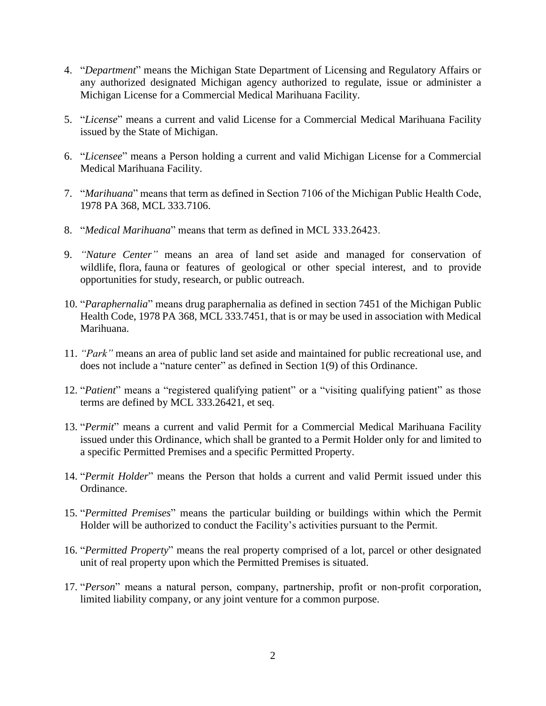- 4. "*Department*" means the Michigan State Department of Licensing and Regulatory Affairs or any authorized designated Michigan agency authorized to regulate, issue or administer a Michigan License for a Commercial Medical Marihuana Facility.
- 5. "*License*" means a current and valid License for a Commercial Medical Marihuana Facility issued by the State of Michigan.
- 6. "*Licensee*" means a Person holding a current and valid Michigan License for a Commercial Medical Marihuana Facility.
- 7. "*Marihuana*" means that term as defined in Section 7106 of the Michigan Public Health Code, 1978 PA 368, MCL 333.7106.
- 8. "*Medical Marihuana*" means that term as defined in MCL 333.26423.
- 9. *"Nature Center"* means an area of land set aside and managed for conservation of [wildlife,](https://en.wikipedia.org/wiki/Wildlife) [flora,](https://en.wikipedia.org/wiki/Flora_(plants)) [fauna](https://en.wikipedia.org/wiki/Fauna_(animals)) or features of geological or other special interest, and to provide opportunities for study, [research,](https://en.wikipedia.org/wiki/Research) or public outreach.
- 10. "*Paraphernalia*" means drug paraphernalia as defined in section 7451 of the Michigan Public Health Code, 1978 PA 368, MCL 333.7451, that is or may be used in association with Medical Marihuana.
- 11. *"Park"* means an area of public land set aside and maintained for public recreational use, and does not include a "nature center" as defined in Section 1(9) of this Ordinance.
- 12. "*Patient*" means a "registered qualifying patient" or a "visiting qualifying patient" as those terms are defined by MCL 333.26421, et seq.
- 13. "*Permit*" means a current and valid Permit for a Commercial Medical Marihuana Facility issued under this Ordinance, which shall be granted to a Permit Holder only for and limited to a specific Permitted Premises and a specific Permitted Property.
- 14. "*Permit Holder*" means the Person that holds a current and valid Permit issued under this Ordinance.
- 15. "*Permitted Premises*" means the particular building or buildings within which the Permit Holder will be authorized to conduct the Facility's activities pursuant to the Permit.
- 16. "*Permitted Property*" means the real property comprised of a lot, parcel or other designated unit of real property upon which the Permitted Premises is situated.
- 17. "*Person*" means a natural person, company, partnership, profit or non-profit corporation, limited liability company, or any joint venture for a common purpose.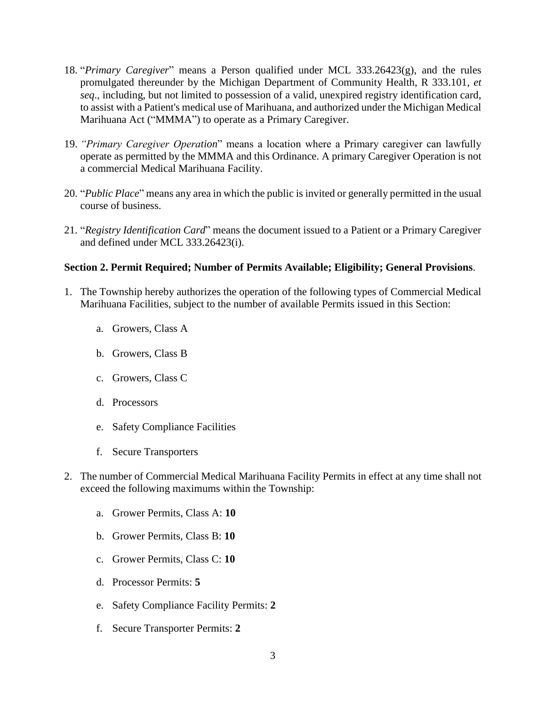- 18. "*Primary Caregiver*" means a Person qualified under MCL 333.26423(g), and the rules promulgated thereunder by the Michigan Department of Community Health, R 333.101, *et seq*., including, but not limited to possession of a valid, unexpired registry identification card, to assist with a Patient's medical use of Marihuana, and authorized under the Michigan Medical Marihuana Act ("MMMA") to operate as a Primary Caregiver.
- 19. *"Primary Caregiver Operation*" means a location where a Primary caregiver can lawfully operate as permitted by the MMMA and this Ordinance. A primary Caregiver Operation is not a commercial Medical Marihuana Facility.
- 20. "*Public Place*" means any area in which the public is invited or generally permitted in the usual course of business.
- 21. "*Registry Identification Card*" means the document issued to a Patient or a Primary Caregiver and defined under MCL 333.26423(i).

## **Section 2. Permit Required; Number of Permits Available; Eligibility; General Provisions**.

- 1. The Township hereby authorizes the operation of the following types of Commercial Medical Marihuana Facilities, subject to the number of available Permits issued in this Section:
	- a. Growers, Class A
	- b. Growers, Class B
	- c. Growers, Class C
	- d. Processors
	- e. Safety Compliance Facilities
	- f. Secure Transporters
- 2. The number of Commercial Medical Marihuana Facility Permits in effect at any time shall not exceed the following maximums within the Township:
	- a. Grower Permits, Class A: **10**
	- b. Grower Permits, Class B: **10**
	- c. Grower Permits, Class C: **10**
	- d. Processor Permits: **5**
	- e. Safety Compliance Facility Permits: **2**
	- f. Secure Transporter Permits: **2**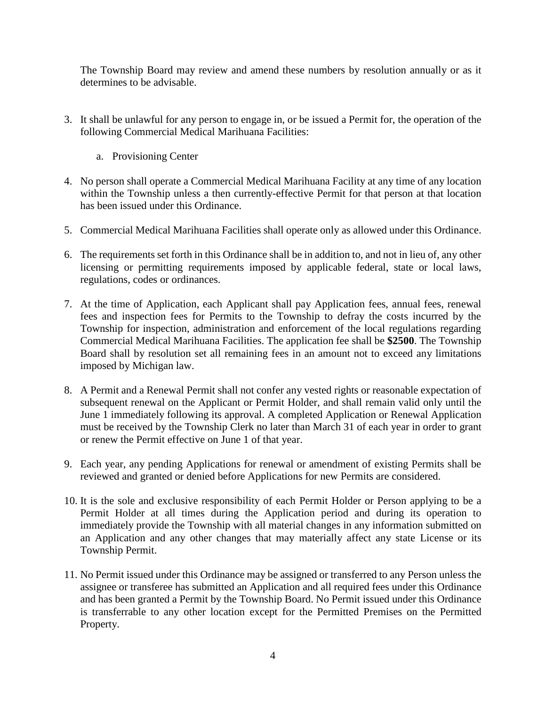The Township Board may review and amend these numbers by resolution annually or as it determines to be advisable.

- 3. It shall be unlawful for any person to engage in, or be issued a Permit for, the operation of the following Commercial Medical Marihuana Facilities:
	- a. Provisioning Center
- 4. No person shall operate a Commercial Medical Marihuana Facility at any time of any location within the Township unless a then currently-effective Permit for that person at that location has been issued under this Ordinance.
- 5. Commercial Medical Marihuana Facilities shall operate only as allowed under this Ordinance.
- 6. The requirements set forth in this Ordinance shall be in addition to, and not in lieu of, any other licensing or permitting requirements imposed by applicable federal, state or local laws, regulations, codes or ordinances.
- 7. At the time of Application, each Applicant shall pay Application fees, annual fees, renewal fees and inspection fees for Permits to the Township to defray the costs incurred by the Township for inspection, administration and enforcement of the local regulations regarding Commercial Medical Marihuana Facilities. The application fee shall be **\$2500**. The Township Board shall by resolution set all remaining fees in an amount not to exceed any limitations imposed by Michigan law.
- 8. A Permit and a Renewal Permit shall not confer any vested rights or reasonable expectation of subsequent renewal on the Applicant or Permit Holder, and shall remain valid only until the June 1 immediately following its approval. A completed Application or Renewal Application must be received by the Township Clerk no later than March 31 of each year in order to grant or renew the Permit effective on June 1 of that year.
- 9. Each year, any pending Applications for renewal or amendment of existing Permits shall be reviewed and granted or denied before Applications for new Permits are considered.
- 10. It is the sole and exclusive responsibility of each Permit Holder or Person applying to be a Permit Holder at all times during the Application period and during its operation to immediately provide the Township with all material changes in any information submitted on an Application and any other changes that may materially affect any state License or its Township Permit.
- 11. No Permit issued under this Ordinance may be assigned or transferred to any Person unless the assignee or transferee has submitted an Application and all required fees under this Ordinance and has been granted a Permit by the Township Board. No Permit issued under this Ordinance is transferrable to any other location except for the Permitted Premises on the Permitted Property.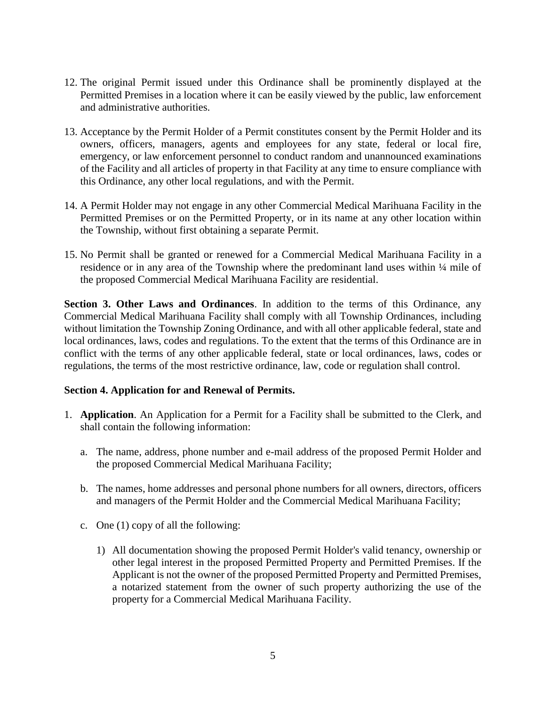- 12. The original Permit issued under this Ordinance shall be prominently displayed at the Permitted Premises in a location where it can be easily viewed by the public, law enforcement and administrative authorities.
- 13. Acceptance by the Permit Holder of a Permit constitutes consent by the Permit Holder and its owners, officers, managers, agents and employees for any state, federal or local fire, emergency, or law enforcement personnel to conduct random and unannounced examinations of the Facility and all articles of property in that Facility at any time to ensure compliance with this Ordinance, any other local regulations, and with the Permit.
- 14. A Permit Holder may not engage in any other Commercial Medical Marihuana Facility in the Permitted Premises or on the Permitted Property, or in its name at any other location within the Township, without first obtaining a separate Permit.
- 15. No Permit shall be granted or renewed for a Commercial Medical Marihuana Facility in a residence or in any area of the Township where the predominant land uses within  $\frac{1}{4}$  mile of the proposed Commercial Medical Marihuana Facility are residential.

**Section 3. Other Laws and Ordinances**. In addition to the terms of this Ordinance, any Commercial Medical Marihuana Facility shall comply with all Township Ordinances, including without limitation the Township Zoning Ordinance, and with all other applicable federal, state and local ordinances, laws, codes and regulations. To the extent that the terms of this Ordinance are in conflict with the terms of any other applicable federal, state or local ordinances, laws, codes or regulations, the terms of the most restrictive ordinance, law, code or regulation shall control.

### **Section 4. Application for and Renewal of Permits.**

- 1. **Application**. An Application for a Permit for a Facility shall be submitted to the Clerk, and shall contain the following information:
	- a. The name, address, phone number and e-mail address of the proposed Permit Holder and the proposed Commercial Medical Marihuana Facility;
	- b. The names, home addresses and personal phone numbers for all owners, directors, officers and managers of the Permit Holder and the Commercial Medical Marihuana Facility;
	- c. One (1) copy of all the following:
		- 1) All documentation showing the proposed Permit Holder's valid tenancy, ownership or other legal interest in the proposed Permitted Property and Permitted Premises. If the Applicant is not the owner of the proposed Permitted Property and Permitted Premises, a notarized statement from the owner of such property authorizing the use of the property for a Commercial Medical Marihuana Facility.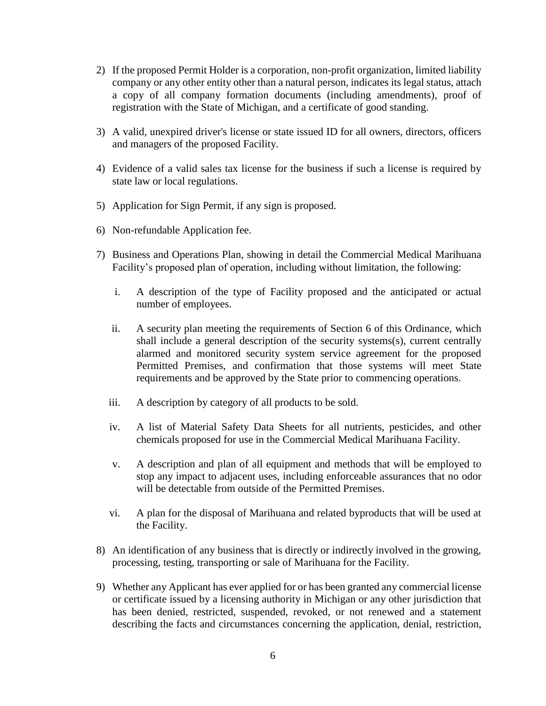- 2) If the proposed Permit Holder is a corporation, non-profit organization, limited liability company or any other entity other than a natural person, indicates its legal status, attach a copy of all company formation documents (including amendments), proof of registration with the State of Michigan, and a certificate of good standing.
- 3) A valid, unexpired driver's license or state issued ID for all owners, directors, officers and managers of the proposed Facility.
- 4) Evidence of a valid sales tax license for the business if such a license is required by state law or local regulations.
- 5) Application for Sign Permit, if any sign is proposed.
- 6) Non-refundable Application fee.
- 7) Business and Operations Plan, showing in detail the Commercial Medical Marihuana Facility's proposed plan of operation, including without limitation, the following:
	- i. A description of the type of Facility proposed and the anticipated or actual number of employees.
	- ii. A security plan meeting the requirements of Section 6 of this Ordinance, which shall include a general description of the security systems(s), current centrally alarmed and monitored security system service agreement for the proposed Permitted Premises, and confirmation that those systems will meet State requirements and be approved by the State prior to commencing operations.
	- iii. A description by category of all products to be sold.
	- iv. A list of Material Safety Data Sheets for all nutrients, pesticides, and other chemicals proposed for use in the Commercial Medical Marihuana Facility.
	- v. A description and plan of all equipment and methods that will be employed to stop any impact to adjacent uses, including enforceable assurances that no odor will be detectable from outside of the Permitted Premises.
	- vi. A plan for the disposal of Marihuana and related byproducts that will be used at the Facility.
- 8) An identification of any business that is directly or indirectly involved in the growing, processing, testing, transporting or sale of Marihuana for the Facility.
- 9) Whether any Applicant has ever applied for or has been granted any commercial license or certificate issued by a licensing authority in Michigan or any other jurisdiction that has been denied, restricted, suspended, revoked, or not renewed and a statement describing the facts and circumstances concerning the application, denial, restriction,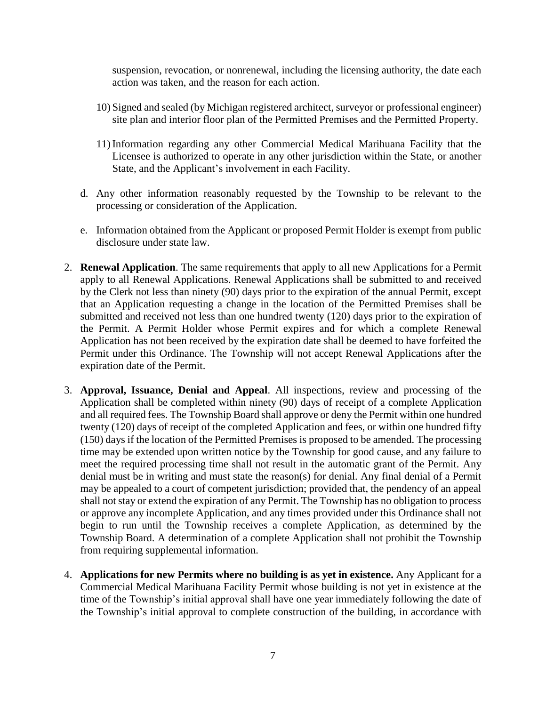suspension, revocation, or nonrenewal, including the licensing authority, the date each action was taken, and the reason for each action.

- 10) Signed and sealed (by Michigan registered architect, surveyor or professional engineer) site plan and interior floor plan of the Permitted Premises and the Permitted Property.
- 11) Information regarding any other Commercial Medical Marihuana Facility that the Licensee is authorized to operate in any other jurisdiction within the State, or another State, and the Applicant's involvement in each Facility.
- d. Any other information reasonably requested by the Township to be relevant to the processing or consideration of the Application.
- e. Information obtained from the Applicant or proposed Permit Holder is exempt from public disclosure under state law.
- 2. **Renewal Application**. The same requirements that apply to all new Applications for a Permit apply to all Renewal Applications. Renewal Applications shall be submitted to and received by the Clerk not less than ninety (90) days prior to the expiration of the annual Permit, except that an Application requesting a change in the location of the Permitted Premises shall be submitted and received not less than one hundred twenty (120) days prior to the expiration of the Permit. A Permit Holder whose Permit expires and for which a complete Renewal Application has not been received by the expiration date shall be deemed to have forfeited the Permit under this Ordinance. The Township will not accept Renewal Applications after the expiration date of the Permit.
- 3. **Approval, Issuance, Denial and Appeal**. All inspections, review and processing of the Application shall be completed within ninety (90) days of receipt of a complete Application and all required fees. The Township Board shall approve or deny the Permit within one hundred twenty (120) days of receipt of the completed Application and fees, or within one hundred fifty (150) days if the location of the Permitted Premises is proposed to be amended. The processing time may be extended upon written notice by the Township for good cause, and any failure to meet the required processing time shall not result in the automatic grant of the Permit. Any denial must be in writing and must state the reason(s) for denial. Any final denial of a Permit may be appealed to a court of competent jurisdiction; provided that, the pendency of an appeal shall not stay or extend the expiration of any Permit. The Township has no obligation to process or approve any incomplete Application, and any times provided under this Ordinance shall not begin to run until the Township receives a complete Application, as determined by the Township Board. A determination of a complete Application shall not prohibit the Township from requiring supplemental information.
- 4. **Applications for new Permits where no building is as yet in existence.** Any Applicant for a Commercial Medical Marihuana Facility Permit whose building is not yet in existence at the time of the Township's initial approval shall have one year immediately following the date of the Township's initial approval to complete construction of the building, in accordance with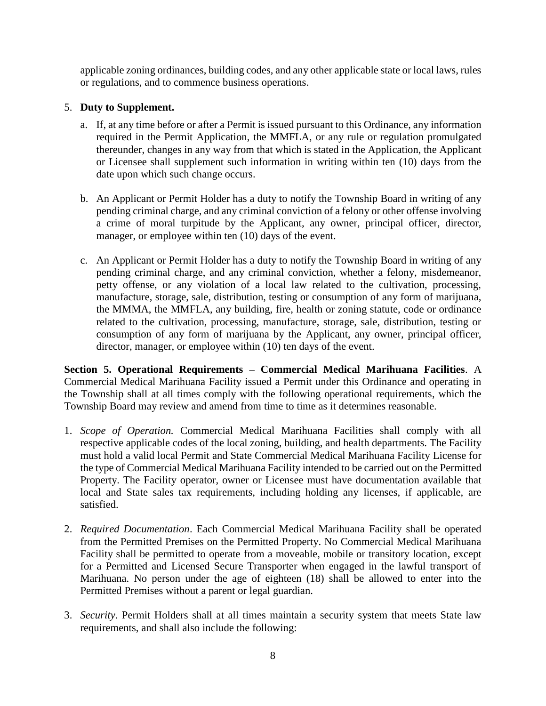applicable zoning ordinances, building codes, and any other applicable state or local laws, rules or regulations, and to commence business operations.

# 5. **Duty to Supplement.**

- a. If, at any time before or after a Permit is issued pursuant to this Ordinance, any information required in the Permit Application, the MMFLA, or any rule or regulation promulgated thereunder, changes in any way from that which is stated in the Application, the Applicant or Licensee shall supplement such information in writing within ten (10) days from the date upon which such change occurs.
- b. An Applicant or Permit Holder has a duty to notify the Township Board in writing of any pending criminal charge, and any criminal conviction of a felony or other offense involving a crime of moral turpitude by the Applicant, any owner, principal officer, director, manager, or employee within ten (10) days of the event.
- c. An Applicant or Permit Holder has a duty to notify the Township Board in writing of any pending criminal charge, and any criminal conviction, whether a felony, misdemeanor, petty offense, or any violation of a local law related to the cultivation, processing, manufacture, storage, sale, distribution, testing or consumption of any form of marijuana, the MMMA, the MMFLA, any building, fire, health or zoning statute, code or ordinance related to the cultivation, processing, manufacture, storage, sale, distribution, testing or consumption of any form of marijuana by the Applicant, any owner, principal officer, director, manager, or employee within (10) ten days of the event.

**Section 5. Operational Requirements – Commercial Medical Marihuana Facilities**. A Commercial Medical Marihuana Facility issued a Permit under this Ordinance and operating in the Township shall at all times comply with the following operational requirements, which the Township Board may review and amend from time to time as it determines reasonable.

- 1. *Scope of Operation.* Commercial Medical Marihuana Facilities shall comply with all respective applicable codes of the local zoning, building, and health departments. The Facility must hold a valid local Permit and State Commercial Medical Marihuana Facility License for the type of Commercial Medical Marihuana Facility intended to be carried out on the Permitted Property. The Facility operator, owner or Licensee must have documentation available that local and State sales tax requirements, including holding any licenses, if applicable, are satisfied.
- 2. *Required Documentation*. Each Commercial Medical Marihuana Facility shall be operated from the Permitted Premises on the Permitted Property. No Commercial Medical Marihuana Facility shall be permitted to operate from a moveable, mobile or transitory location, except for a Permitted and Licensed Secure Transporter when engaged in the lawful transport of Marihuana. No person under the age of eighteen (18) shall be allowed to enter into the Permitted Premises without a parent or legal guardian.
- 3. *Security*. Permit Holders shall at all times maintain a security system that meets State law requirements, and shall also include the following: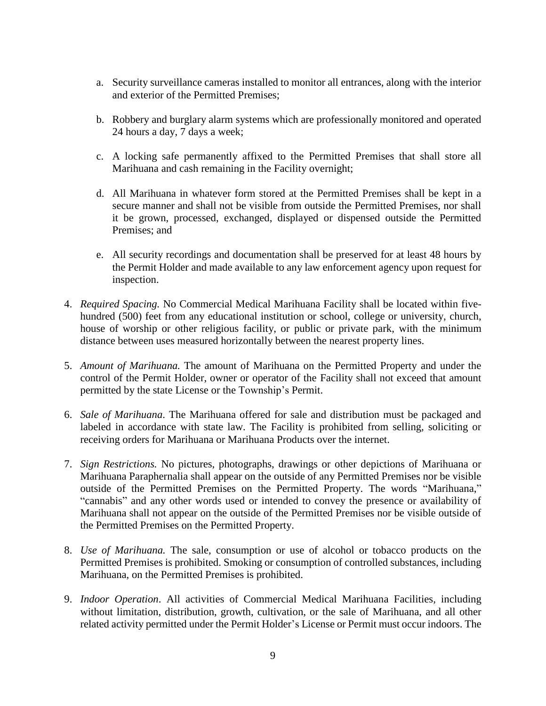- a. Security surveillance cameras installed to monitor all entrances, along with the interior and exterior of the Permitted Premises;
- b. Robbery and burglary alarm systems which are professionally monitored and operated 24 hours a day, 7 days a week;
- c. A locking safe permanently affixed to the Permitted Premises that shall store all Marihuana and cash remaining in the Facility overnight;
- d. All Marihuana in whatever form stored at the Permitted Premises shall be kept in a secure manner and shall not be visible from outside the Permitted Premises, nor shall it be grown, processed, exchanged, displayed or dispensed outside the Permitted Premises; and
- e. All security recordings and documentation shall be preserved for at least 48 hours by the Permit Holder and made available to any law enforcement agency upon request for inspection.
- 4. *Required Spacing.* No Commercial Medical Marihuana Facility shall be located within fivehundred (500) feet from any educational institution or school, college or university, church, house of worship or other religious facility, or public or private park, with the minimum distance between uses measured horizontally between the nearest property lines.
- 5. *Amount of Marihuana.* The amount of Marihuana on the Permitted Property and under the control of the Permit Holder, owner or operator of the Facility shall not exceed that amount permitted by the state License or the Township's Permit.
- 6. *Sale of Marihuana*. The Marihuana offered for sale and distribution must be packaged and labeled in accordance with state law. The Facility is prohibited from selling, soliciting or receiving orders for Marihuana or Marihuana Products over the internet.
- 7. *Sign Restrictions.* No pictures, photographs, drawings or other depictions of Marihuana or Marihuana Paraphernalia shall appear on the outside of any Permitted Premises nor be visible outside of the Permitted Premises on the Permitted Property. The words "Marihuana," "cannabis" and any other words used or intended to convey the presence or availability of Marihuana shall not appear on the outside of the Permitted Premises nor be visible outside of the Permitted Premises on the Permitted Property.
- 8. *Use of Marihuana.* The sale, consumption or use of alcohol or tobacco products on the Permitted Premises is prohibited. Smoking or consumption of controlled substances, including Marihuana, on the Permitted Premises is prohibited.
- 9. *Indoor Operation*. All activities of Commercial Medical Marihuana Facilities, including without limitation, distribution, growth, cultivation, or the sale of Marihuana, and all other related activity permitted under the Permit Holder's License or Permit must occur indoors. The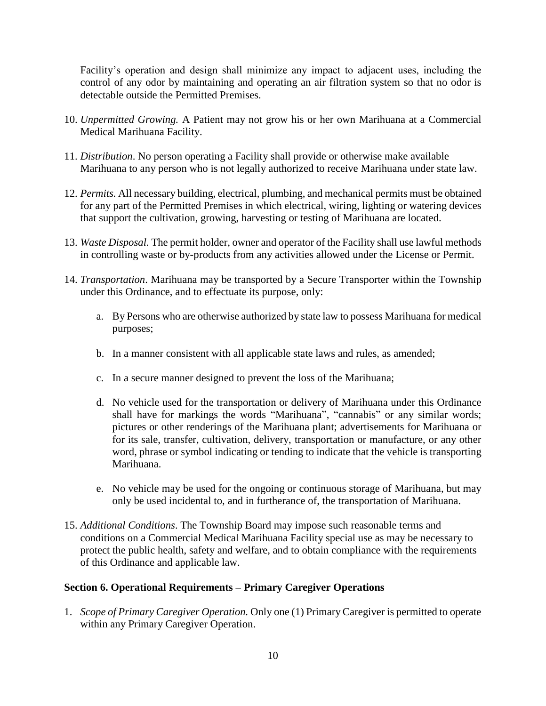Facility's operation and design shall minimize any impact to adjacent uses, including the control of any odor by maintaining and operating an air filtration system so that no odor is detectable outside the Permitted Premises.

- 10. *Unpermitted Growing.* A Patient may not grow his or her own Marihuana at a Commercial Medical Marihuana Facility.
- 11. *Distribution*. No person operating a Facility shall provide or otherwise make available Marihuana to any person who is not legally authorized to receive Marihuana under state law.
- 12. *Permits.* All necessary building, electrical, plumbing, and mechanical permits must be obtained for any part of the Permitted Premises in which electrical, wiring, lighting or watering devices that support the cultivation, growing, harvesting or testing of Marihuana are located.
- 13. *Waste Disposal.* The permit holder, owner and operator of the Facility shall use lawful methods in controlling waste or by-products from any activities allowed under the License or Permit.
- 14. *Transportation*. Marihuana may be transported by a Secure Transporter within the Township under this Ordinance, and to effectuate its purpose, only:
	- a. By Persons who are otherwise authorized by state law to possess Marihuana for medical purposes;
	- b. In a manner consistent with all applicable state laws and rules, as amended;
	- c. In a secure manner designed to prevent the loss of the Marihuana;
	- d. No vehicle used for the transportation or delivery of Marihuana under this Ordinance shall have for markings the words "Marihuana", "cannabis" or any similar words; pictures or other renderings of the Marihuana plant; advertisements for Marihuana or for its sale, transfer, cultivation, delivery, transportation or manufacture, or any other word, phrase or symbol indicating or tending to indicate that the vehicle is transporting Marihuana.
	- e. No vehicle may be used for the ongoing or continuous storage of Marihuana, but may only be used incidental to, and in furtherance of, the transportation of Marihuana.
- 15. *Additional Conditions*. The Township Board may impose such reasonable terms and conditions on a Commercial Medical Marihuana Facility special use as may be necessary to protect the public health, safety and welfare, and to obtain compliance with the requirements of this Ordinance and applicable law.

# **Section 6. Operational Requirements – Primary Caregiver Operations**

1. *Scope of Primary Caregiver Operation.* Only one (1) Primary Caregiver is permitted to operate within any Primary Caregiver Operation.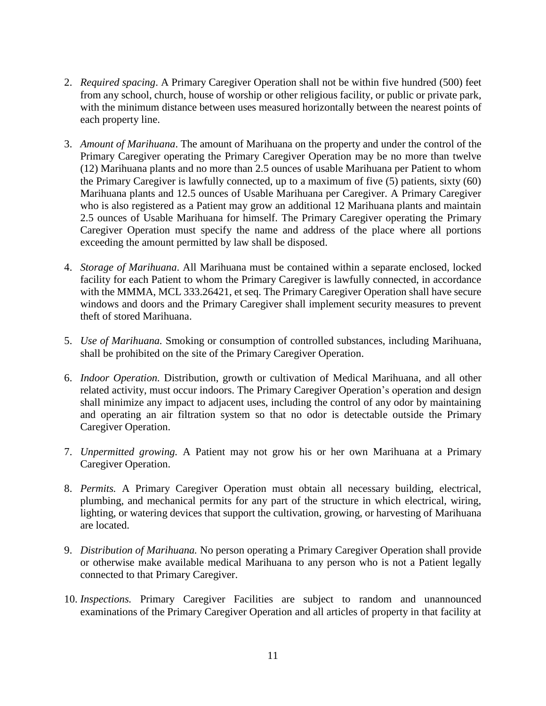- 2. *Required spacing*. A Primary Caregiver Operation shall not be within five hundred (500) feet from any school, church, house of worship or other religious facility, or public or private park, with the minimum distance between uses measured horizontally between the nearest points of each property line.
- 3. *Amount of Marihuana*. The amount of Marihuana on the property and under the control of the Primary Caregiver operating the Primary Caregiver Operation may be no more than twelve (12) Marihuana plants and no more than 2.5 ounces of usable Marihuana per Patient to whom the Primary Caregiver is lawfully connected, up to a maximum of five (5) patients, sixty (60) Marihuana plants and 12.5 ounces of Usable Marihuana per Caregiver. A Primary Caregiver who is also registered as a Patient may grow an additional 12 Marihuana plants and maintain 2.5 ounces of Usable Marihuana for himself. The Primary Caregiver operating the Primary Caregiver Operation must specify the name and address of the place where all portions exceeding the amount permitted by law shall be disposed.
- 4. *Storage of Marihuana*. All Marihuana must be contained within a separate enclosed, locked facility for each Patient to whom the Primary Caregiver is lawfully connected, in accordance with the MMMA, MCL 333.26421, et seq. The Primary Caregiver Operation shall have secure windows and doors and the Primary Caregiver shall implement security measures to prevent theft of stored Marihuana.
- 5. *Use of Marihuana.* Smoking or consumption of controlled substances, including Marihuana, shall be prohibited on the site of the Primary Caregiver Operation.
- 6. *Indoor Operation.* Distribution, growth or cultivation of Medical Marihuana, and all other related activity, must occur indoors. The Primary Caregiver Operation's operation and design shall minimize any impact to adjacent uses, including the control of any odor by maintaining and operating an air filtration system so that no odor is detectable outside the Primary Caregiver Operation.
- 7. *Unpermitted growing.* A Patient may not grow his or her own Marihuana at a Primary Caregiver Operation.
- 8. *Permits.* A Primary Caregiver Operation must obtain all necessary building, electrical, plumbing, and mechanical permits for any part of the structure in which electrical, wiring, lighting, or watering devices that support the cultivation, growing, or harvesting of Marihuana are located.
- 9. *Distribution of Marihuana.* No person operating a Primary Caregiver Operation shall provide or otherwise make available medical Marihuana to any person who is not a Patient legally connected to that Primary Caregiver.
- 10. *Inspections.* Primary Caregiver Facilities are subject to random and unannounced examinations of the Primary Caregiver Operation and all articles of property in that facility at